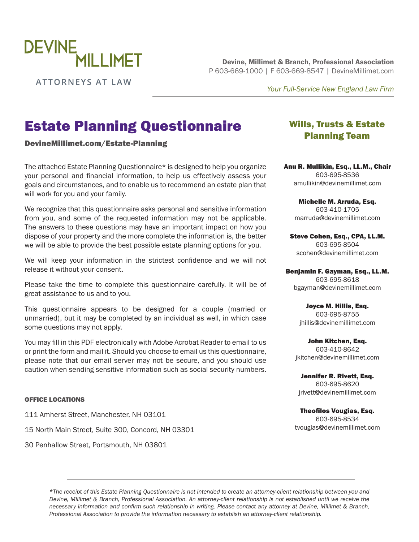

**ATTORNEYS AT LAW** 

Devine, Millimet & Branch, Professional Association P 603-669-1000 | F 603-669-8547 | [DevineMillimet.com](https://www.devinemillimet.com/)

*Your Full-Service New England Law Firm*

# Estate Planning Questionnaire

[DevineMillimet.com/Estate-Planning](https://www.devinemillimet.com/estate-planning)

The attached Estate Planning Questionnaire\* is designed to help you organize your personal and financial information, to help us effectively assess your goals and circumstances, and to enable us to recommend an estate plan that will work for you and your family.

We recognize that this questionnaire asks personal and sensitive information from you, and some of the requested information may not be applicable. The answers to these questions may have an important impact on how you dispose of your property and the more complete the information is, the better we will be able to provide the best possible estate planning options for you.

We will keep your information in the strictest confidence and we will not release it without your consent.

Please take the time to complete this questionnaire carefully. It will be of great assistance to us and to you.

This questionnaire appears to be designed for a couple (married or unmarried), but it may be completed by an individual as well, in which case some questions may not apply.

You may fill in this PDF electronically with Adobe Acrobat Reader to email to us or print the form and mail it. Should you choose to email us this questionnaire, please note that our email server may not be secure, and you should use caution when sending sensitive information such as social security numbers.

#### OFFICE LOCATIONS

111 Amherst Street, Manchester, NH 03101

15 North Main Street, Suite 300, Concord, NH 03301

30 Penhallow Street, Portsmouth, NH 03801

# Wills, Trusts & Estate Planning Team

Anu R. Mullikin, Esq., LL.M., Chair 603-695-8536 [amullikin@devinemillimet.com](mailto:amullikin@devinemillimet.com)

Michelle M. Arruda, Esq. 603-410-1705 [marruda@devinemillimet.com](mailto:marruda@devinemillimet.com)

Steve Cohen, Esq., CPA, LL.M. 603-695-8504 [scohen@devinemillimet.com](mailto:scohen@devinemillimet.com)

Benjamin F. Gayman, Esq., LL.M. 603-695-8618 [bgayman@devinemillimet.com](mailto:bgayman@devinemillimet.com)

> Joyce M. Hillis, Esq. 603-695-8755 [jhillis@devinemillimet.com](mailto:jhillis@devinemillimet.com)

John Kitchen, Esq. 603-410-8642 [jkitchen@devinemillimet.com](mailto:jkitchen@devinemillimet.com)

Jennifer R. Rivett, Esq. 603-695-8620 [jrivett@devinemillimet.com](mailto:jrivett@devinemillimet.com)

Theofilos Vougias, Esq. 603-695-8534 [tvougias@devinemillimet.com](mailto:tvougias@devinemillimet.com)

*\*The receipt of this Estate Planning Questionnaire is not intended to create an attorney-client relationship between you and Devine, Millimet & Branch, Professional Association. An attorney-client relationship is not established until we receive the necessary information and confirm such relationship in writing. Please contact any attorney at Devine, Millimet & Branch, Professional Association to provide the information necessary to establish an attorney-client relationship.*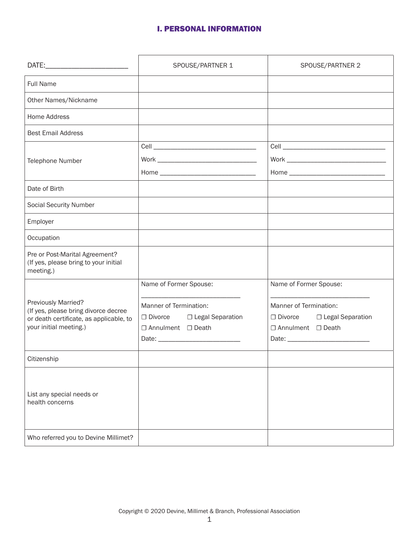## I. PERSONAL INFORMATION

|                                                                                                                                  | SPOUSE/PARTNER 1                                                              | SPOUSE/PARTNER 2                                                                        |
|----------------------------------------------------------------------------------------------------------------------------------|-------------------------------------------------------------------------------|-----------------------------------------------------------------------------------------|
| <b>Full Name</b>                                                                                                                 |                                                                               |                                                                                         |
| Other Names/Nickname                                                                                                             |                                                                               |                                                                                         |
| Home Address                                                                                                                     |                                                                               |                                                                                         |
| <b>Best Email Address</b>                                                                                                        |                                                                               |                                                                                         |
|                                                                                                                                  |                                                                               |                                                                                         |
| Telephone Number                                                                                                                 |                                                                               |                                                                                         |
|                                                                                                                                  |                                                                               |                                                                                         |
| Date of Birth                                                                                                                    |                                                                               |                                                                                         |
| <b>Social Security Number</b>                                                                                                    |                                                                               |                                                                                         |
| Employer                                                                                                                         |                                                                               |                                                                                         |
| Occupation                                                                                                                       |                                                                               |                                                                                         |
| Pre or Post-Marital Agreement?<br>(If yes, please bring to your initial<br>meeting.)                                             |                                                                               |                                                                                         |
|                                                                                                                                  | Name of Former Spouse:                                                        | Name of Former Spouse:                                                                  |
| Previously Married?<br>(If yes, please bring divorce decree<br>or death certificate, as applicable, to<br>your initial meeting.) | Manner of Termination:<br>□ Divorce □ Legal Separation<br>□ Annulment □ Death | Manner of Termination:<br>□ Divorce □ Legal Separation<br>$\Box$ Annulment $\Box$ Death |
| Citizenship                                                                                                                      |                                                                               |                                                                                         |
| List any special needs or<br>health concerns                                                                                     |                                                                               |                                                                                         |
| Who referred you to Devine Millimet?                                                                                             |                                                                               |                                                                                         |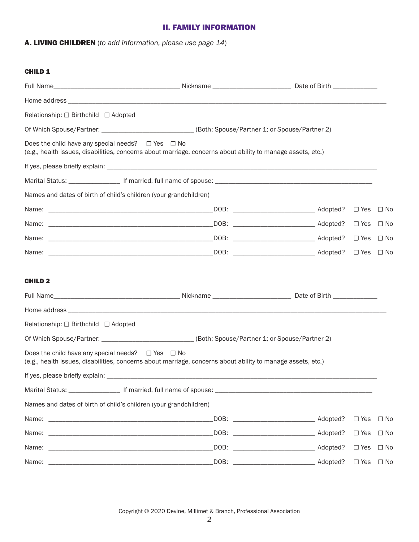#### II. FAMILY INFORMATION

A. LIVING CHILDREN (*to add information, please use page 14*)

#### CHILD 1

| Relationship: □ Birthchild □ Adopted                              |                                                                                                             |            |                      |
|-------------------------------------------------------------------|-------------------------------------------------------------------------------------------------------------|------------|----------------------|
|                                                                   | Of Which Spouse/Partner: ___________________________(Both; Spouse/Partner 1; or Spouse/Partner 2)           |            |                      |
| Does the child have any special needs? $\Box$ Yes $\Box$ No       | (e.g., health issues, disabilities, concerns about marriage, concerns about ability to manage assets, etc.) |            |                      |
|                                                                   |                                                                                                             |            |                      |
|                                                                   |                                                                                                             |            |                      |
| Names and dates of birth of child's children (your grandchildren) |                                                                                                             |            |                      |
|                                                                   |                                                                                                             |            |                      |
|                                                                   |                                                                                                             |            |                      |
|                                                                   |                                                                                                             |            |                      |
|                                                                   |                                                                                                             |            | $\Box$ Yes $\Box$ No |
| <b>CHILD 2</b>                                                    |                                                                                                             |            |                      |
|                                                                   |                                                                                                             |            |                      |
| Relationship: □ Birthchild □ Adopted                              |                                                                                                             |            |                      |
|                                                                   | Of Which Spouse/Partner: _______________________________(Both; Spouse/Partner 1; or Spouse/Partner 2)       |            |                      |
| Does the child have any special needs? $\Box$ Yes $\Box$ No       | (e.g., health issues, disabilities, concerns about marriage, concerns about ability to manage assets, etc.) |            |                      |
|                                                                   |                                                                                                             |            |                      |
|                                                                   |                                                                                                             |            |                      |
| Names and dates of birth of child's children (your grandchildren) |                                                                                                             |            |                      |
|                                                                   |                                                                                                             |            | $\Box$ Yes $\Box$ No |
|                                                                   |                                                                                                             | $\Box$ Yes | $\Box$ No            |
|                                                                   |                                                                                                             | $\Box$ Yes | $\Box$ No            |
|                                                                   |                                                                                                             |            | $\Box$ Yes $\Box$ No |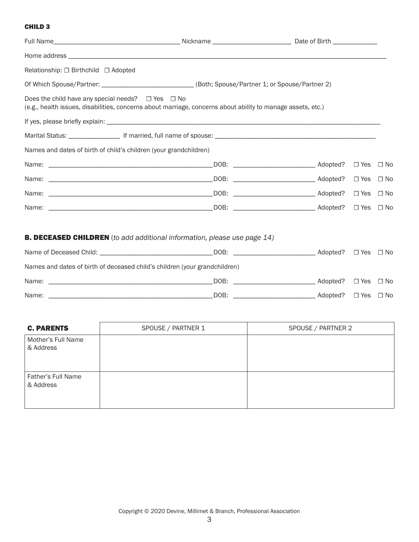#### CHILD 3

| Relationship: □ Birthchild □ Adopted                                                                                                                                       |  |                      |  |
|----------------------------------------------------------------------------------------------------------------------------------------------------------------------------|--|----------------------|--|
| Of Which Spouse/Partner: _____________________________(Both; Spouse/Partner 1; or Spouse/Partner 2)                                                                        |  |                      |  |
| Does the child have any special needs? $\Box$ Yes $\Box$ No<br>(e.g., health issues, disabilities, concerns about marriage, concerns about ability to manage assets, etc.) |  |                      |  |
|                                                                                                                                                                            |  |                      |  |
|                                                                                                                                                                            |  |                      |  |
| Names and dates of birth of child's children (your grandchildren)                                                                                                          |  |                      |  |
|                                                                                                                                                                            |  |                      |  |
|                                                                                                                                                                            |  |                      |  |
|                                                                                                                                                                            |  |                      |  |
|                                                                                                                                                                            |  |                      |  |
|                                                                                                                                                                            |  |                      |  |
| <b>B. DECEASED CHILDREN</b> (to add additional information, please use page 14)                                                                                            |  |                      |  |
| Name of Deceased Child: __________________________________DOB: __________________________Adopted? □ Yes □ No                                                               |  |                      |  |
| Names and dates of birth of deceased child's children (your grandchildren)                                                                                                 |  |                      |  |
| Name:                                                                                                                                                                      |  |                      |  |
| Name:                                                                                                                                                                      |  | $\Box$ Yes $\Box$ No |  |

| <b>C. PARENTS</b>               | SPOUSE / PARTNER 1 | SPOUSE / PARTNER 2 |
|---------------------------------|--------------------|--------------------|
| Mother's Full Name<br>& Address |                    |                    |
| Father's Full Name<br>& Address |                    |                    |

 $\mathcal{L}(\mathcal{L}(\mathcal{L}))$  and the contract of the contract of the contract of the contract of the contract of the contract of the contract of the contract of the contract of the contract of the contract of the contract of the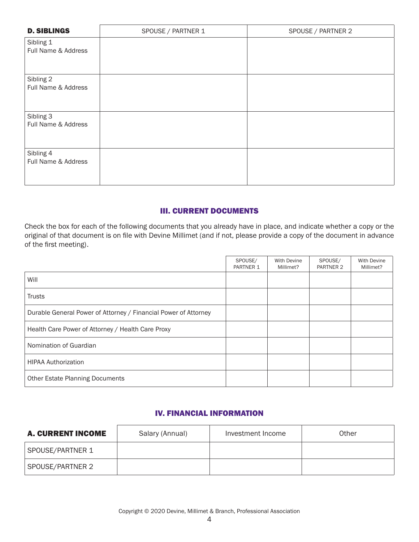| <b>D. SIBLINGS</b>               | SPOUSE / PARTNER 1 | SPOUSE / PARTNER 2 |
|----------------------------------|--------------------|--------------------|
| Sibling 1<br>Full Name & Address |                    |                    |
| Sibling 2<br>Full Name & Address |                    |                    |
| Sibling 3<br>Full Name & Address |                    |                    |
| Sibling 4<br>Full Name & Address |                    |                    |

## III. CURRENT DOCUMENTS

Check the box for each of the following documents that you already have in place, and indicate whether a copy or the original of that document is on file with Devine Millimet (and if not, please provide a copy of the document in advance of the first meeting).

|                                                                 | SPOUSE/<br>PARTNER 1 | With Devine<br>Millimet? | SPOUSE/<br>PARTNER 2 | <b>With Devine</b><br>Millimet? |
|-----------------------------------------------------------------|----------------------|--------------------------|----------------------|---------------------------------|
| Will                                                            |                      |                          |                      |                                 |
| <b>Trusts</b>                                                   |                      |                          |                      |                                 |
| Durable General Power of Attorney / Financial Power of Attorney |                      |                          |                      |                                 |
| Health Care Power of Attorney / Health Care Proxy               |                      |                          |                      |                                 |
| Nomination of Guardian                                          |                      |                          |                      |                                 |
| <b>HIPAA Authorization</b>                                      |                      |                          |                      |                                 |
| <b>Other Estate Planning Documents</b>                          |                      |                          |                      |                                 |

# IV. FINANCIAL INFORMATION

| <b>A. CURRENT INCOME</b> | Salary (Annual) | Investment Income | Other |
|--------------------------|-----------------|-------------------|-------|
| SPOUSE/PARTNER 1         |                 |                   |       |
| SPOUSE/PARTNER 2         |                 |                   |       |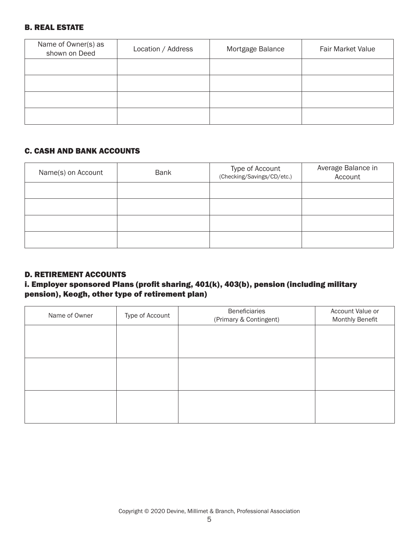# B. REAL ESTATE

| Name of Owner(s) as<br>shown on Deed | Location / Address | Mortgage Balance | <b>Fair Market Value</b> |
|--------------------------------------|--------------------|------------------|--------------------------|
|                                      |                    |                  |                          |
|                                      |                    |                  |                          |
|                                      |                    |                  |                          |
|                                      |                    |                  |                          |

# C. CASH AND BANK ACCOUNTS

| Name(s) on Account | <b>Bank</b> | Type of Account<br>(Checking/Savings/CD/etc.) | Average Balance in<br>Account |
|--------------------|-------------|-----------------------------------------------|-------------------------------|
|                    |             |                                               |                               |
|                    |             |                                               |                               |
|                    |             |                                               |                               |
|                    |             |                                               |                               |

## D. RETIREMENT ACCOUNTS

# i. Employer sponsored Plans (profit sharing, 401(k), 403(b), pension (including military pension), Keogh, other type of retirement plan)

| Name of Owner | Type of Account | Beneficiaries<br>(Primary & Contingent) | Account Value or<br>Monthly Benefit |
|---------------|-----------------|-----------------------------------------|-------------------------------------|
|               |                 |                                         |                                     |
|               |                 |                                         |                                     |
|               |                 |                                         |                                     |
|               |                 |                                         |                                     |
|               |                 |                                         |                                     |
|               |                 |                                         |                                     |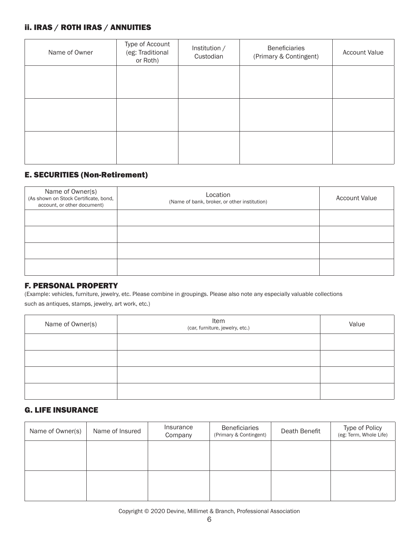## ii. IRAS / ROTH IRAS / ANNUITIES

| Name of Owner | Type of Account<br>(eg: Traditional<br>or Roth) | Institution /<br>Custodian | Beneficiaries<br>(Primary & Contingent) | <b>Account Value</b> |
|---------------|-------------------------------------------------|----------------------------|-----------------------------------------|----------------------|
|               |                                                 |                            |                                         |                      |
|               |                                                 |                            |                                         |                      |
|               |                                                 |                            |                                         |                      |

# E. SECURITIES (Non-Retirement)

| Name of Owner(s)<br>(As shown on Stock Certificate, bond,<br>account, or other document) | Location<br>(Name of bank, broker, or other institution) | <b>Account Value</b> |
|------------------------------------------------------------------------------------------|----------------------------------------------------------|----------------------|
|                                                                                          |                                                          |                      |
|                                                                                          |                                                          |                      |
|                                                                                          |                                                          |                      |
|                                                                                          |                                                          |                      |

#### F. PERSONAL PROPERTY

(Example: vehicles, furniture, jewelry, etc. Please combine in groupings. Please also note any especially valuable collections

such as antiques, stamps, jewelry, art work, etc.)

| Name of Owner(s) | Item<br>(car, furniture, jewelry, etc.) | Value |
|------------------|-----------------------------------------|-------|
|                  |                                         |       |
|                  |                                         |       |
|                  |                                         |       |
|                  |                                         |       |

# G. LIFE INSURANCE

| Name of Owner(s) | Name of Insured | Insurance<br>Company | Beneficiaries<br>(Primary & Contingent) | Death Benefit | Type of Policy<br>(eg: Term, Whole Life) |
|------------------|-----------------|----------------------|-----------------------------------------|---------------|------------------------------------------|
|                  |                 |                      |                                         |               |                                          |
|                  |                 |                      |                                         |               |                                          |
|                  |                 |                      |                                         |               |                                          |
|                  |                 |                      |                                         |               |                                          |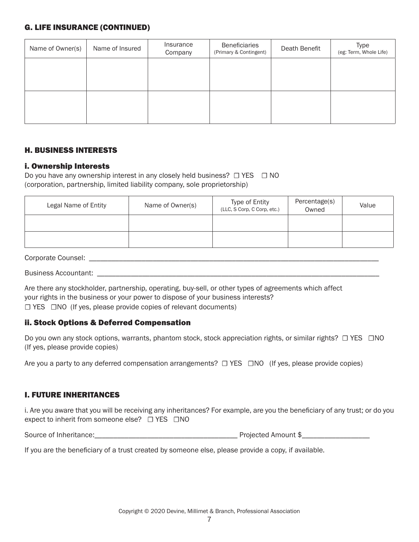## G. LIFE INSURANCE (CONTINUED)

| Name of Owner(s) | Name of Insured | Insurance<br>Company | <b>Beneficiaries</b><br>(Primary & Contingent) | Death Benefit | Type<br>(eg: Term, Whole Life) |
|------------------|-----------------|----------------------|------------------------------------------------|---------------|--------------------------------|
|                  |                 |                      |                                                |               |                                |
|                  |                 |                      |                                                |               |                                |
|                  |                 |                      |                                                |               |                                |
|                  |                 |                      |                                                |               |                                |

## H. BUSINESS INTERESTS

## i. Ownership Interests

Do you have any ownership interest in any closely held business?  $□$  YES  $□$  NO (corporation, partnership, limited liability company, sole proprietorship)

| Legal Name of Entity | Name of Owner(s) | Type of Entity<br>(LLC, S Corp, C Corp, etc.) | Percentage(s)<br>Owned | Value |
|----------------------|------------------|-----------------------------------------------|------------------------|-------|
|                      |                  |                                               |                        |       |
|                      |                  |                                               |                        |       |

#### Corporate Counsel: \_\_\_\_\_\_\_\_\_\_\_\_\_\_\_\_\_\_\_\_\_\_\_\_\_\_\_\_\_\_\_\_\_\_\_\_\_\_\_\_\_\_\_\_\_\_\_\_\_\_\_\_\_\_\_\_\_\_\_\_\_\_\_\_\_\_\_\_\_\_\_\_\_\_\_\_\_

Business Accountant: \_\_\_\_\_\_\_\_\_\_\_\_\_\_\_\_\_\_\_\_\_\_\_\_\_\_\_\_\_\_\_\_\_\_\_\_\_\_\_\_\_\_\_\_\_\_\_\_\_\_\_\_\_\_\_\_\_\_\_\_\_\_\_\_\_\_\_\_\_\_\_\_\_\_\_

Are there any stockholder, partnership, operating, buy-sell, or other types of agreements which affect your rights in the business or your power to dispose of your business interests? ☐ YES ☐NO (If yes, please provide copies of relevant documents)

## ii. Stock Options & Deferred Compensation

Do you own any stock options, warrants, phantom stock, stock appreciation rights, or similar rights? □ YES □NO (If yes, please provide copies)

Are you a party to any deferred compensation arrangements?  $□$  YES  $□$ NO (If yes, please provide copies)

# I. FUTURE INHERITANCES

i. Are you aware that you will be receiving any inheritances? For example, are you the beneficiary of any trust; or do you expect to inherit from someone else? □ YES □NO

Source of Inheritance:\_\_\_\_\_\_\_\_\_\_\_\_\_\_\_\_\_\_\_\_\_\_\_\_\_\_\_\_\_\_\_\_\_\_\_\_\_\_ Projected Amount \$\_\_\_\_\_\_\_\_\_\_\_\_\_\_\_\_\_\_

If you are the beneficiary of a trust created by someone else, please provide a copy, if available.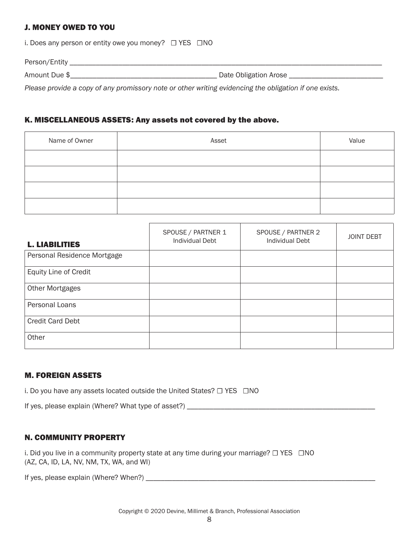## J. MONEY OWED TO YOU

i. Does any person or entity owe you money? □ YES □ NO

Person/Entity \_\_\_\_\_\_\_\_\_\_\_\_\_\_\_\_\_\_\_\_\_\_\_\_\_\_\_\_\_\_\_\_\_\_\_\_\_\_\_\_\_\_\_\_\_\_\_\_\_\_\_\_\_\_\_\_\_\_\_\_\_\_\_\_\_\_\_\_\_\_\_\_\_\_\_\_\_\_\_\_\_\_\_

Amount Due \$\_\_\_\_\_\_\_\_\_\_\_\_\_\_\_\_\_\_\_\_\_\_\_\_\_\_\_\_\_\_\_\_\_\_\_\_\_\_\_ Date Obligation Arose \_\_\_\_\_\_\_\_\_\_\_\_\_\_\_\_\_\_\_\_\_\_\_\_\_

*Please provide a copy of any promissory note or other writing evidencing the obligation if one exists.*

#### K. MISCELLANEOUS ASSETS: Any assets not covered by the above.

| Name of Owner | Asset | Value |
|---------------|-------|-------|
|               |       |       |
|               |       |       |
|               |       |       |
|               |       |       |

| <b>L. LIABILITIES</b>       | SPOUSE / PARTNER 1<br><b>Individual Debt</b> | SPOUSE / PARTNER 2<br><b>Individual Debt</b> | <b>JOINT DEBT</b> |
|-----------------------------|----------------------------------------------|----------------------------------------------|-------------------|
| Personal Residence Mortgage |                                              |                                              |                   |
| Equity Line of Credit       |                                              |                                              |                   |
| <b>Other Mortgages</b>      |                                              |                                              |                   |
| Personal Loans              |                                              |                                              |                   |
| <b>Credit Card Debt</b>     |                                              |                                              |                   |
| Other                       |                                              |                                              |                   |

## M. FOREIGN ASSETS

i. Do you have any assets located outside the United States? □ YES □ NO

| If yes, please explain (Where? What type of asset?) |  |
|-----------------------------------------------------|--|
|-----------------------------------------------------|--|

## N. COMMUNITY PROPERTY

i. Did you live in a community property state at any time during your marriage?  $\Box$  YES  $\Box$ NO (AZ, CA, ID, LA, NV, NM, TX, WA, and WI)

If yes, please explain (Where? When?) \_\_\_\_\_\_\_\_\_\_\_\_\_\_\_\_\_\_\_\_\_\_\_\_\_\_\_\_\_\_\_\_\_\_\_\_\_\_\_\_\_\_\_\_\_\_\_\_\_\_\_\_\_\_\_\_\_\_\_\_\_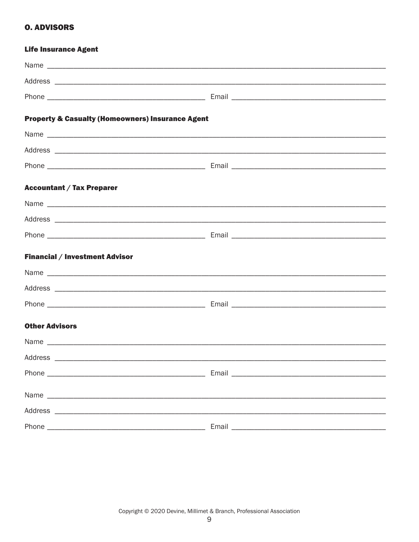# **O. ADVISORS**

| <b>Life Insurance Agent</b>                                 |  |
|-------------------------------------------------------------|--|
|                                                             |  |
|                                                             |  |
|                                                             |  |
| <b>Property &amp; Casualty (Homeowners) Insurance Agent</b> |  |
|                                                             |  |
|                                                             |  |
|                                                             |  |
| <b>Accountant / Tax Preparer</b>                            |  |
|                                                             |  |
|                                                             |  |
|                                                             |  |
| <b>Financial / Investment Advisor</b>                       |  |
|                                                             |  |
|                                                             |  |
|                                                             |  |
| <b>Other Advisors</b>                                       |  |
|                                                             |  |
|                                                             |  |
|                                                             |  |
|                                                             |  |
|                                                             |  |
|                                                             |  |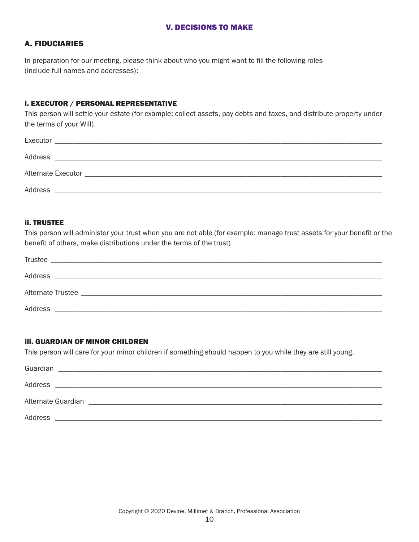#### V. DECISIONS TO MAKE

#### A. FIDUCIARIES

In preparation for our meeting, please think about who you might want to fill the following roles (include full names and addresses):

#### i. EXECUTOR / PERSONAL REPRESENTATIVE

This person will settle your estate (for example: collect assets, pay debts and taxes, and distribute property under the terms of your Will).

| Executor           |                                                                                                                                                                                                                               |                                                                                                                                                                                                                               |  |
|--------------------|-------------------------------------------------------------------------------------------------------------------------------------------------------------------------------------------------------------------------------|-------------------------------------------------------------------------------------------------------------------------------------------------------------------------------------------------------------------------------|--|
| Address            | the control of the control of the control of the control of the control of the control of the control of the control of the control of the control of the control of the control of the control of the control of the control |                                                                                                                                                                                                                               |  |
| Alternate Executor |                                                                                                                                                                                                                               | the control of the control of the control of the control of the control of the control of the control of the control of the control of the control of the control of the control of the control of the control of the control |  |
| Address            |                                                                                                                                                                                                                               |                                                                                                                                                                                                                               |  |

#### ii. TRUSTEE

This person will administer your trust when you are not able (for example: manage trust assets for your benefit or the benefit of others, make distributions under the terms of the trust).

| <b>Trustee</b>                                                       |  |
|----------------------------------------------------------------------|--|
| Address                                                              |  |
|                                                                      |  |
| Address<br><u> 1980 - John Stein, Amerikaansk politiker (* 1918)</u> |  |

#### iii. GUARDIAN OF MINOR CHILDREN

This person will care for your minor children if something should happen to you while they are still young.

| Guardian                                                                                                                         |  |
|----------------------------------------------------------------------------------------------------------------------------------|--|
| Address<br><u> 1989 - Andrea Santa Alemania, amerikana amerikana amerikana amerikana amerikana amerikana amerikana amerikana</u> |  |
| Alternate Guardian                                                                                                               |  |
| Address                                                                                                                          |  |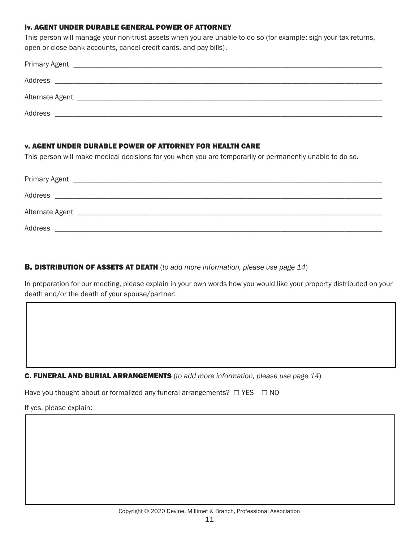#### iv. AGENT UNDER DURABLE GENERAL POWER OF ATTORNEY

This person will manage your non-trust assets when you are unable to do so (for example: sign your tax returns, open or close bank accounts, cancel credit cards, and pay bills).

| Address |
|---------|

#### v. AGENT UNDER DURABLE POWER OF ATTORNEY FOR HEALTH CARE

This person will make medical decisions for you when you are temporarily or permanently unable to do so.

| Address |  |  |
|---------|--|--|

## B. DISTRIBUTION OF ASSETS AT DEATH (*to add more information, please use page 14*)

In preparation for our meeting, please explain in your own words how you would like your property distributed on your death and/or the death of your spouse/partner:

C. FUNERAL AND BURIAL ARRANGEMENTS (*to add more information, please use page 14*)

Have you thought about or formalized any funeral arrangements?  $□$  YES  $□$  NO

If yes, please explain: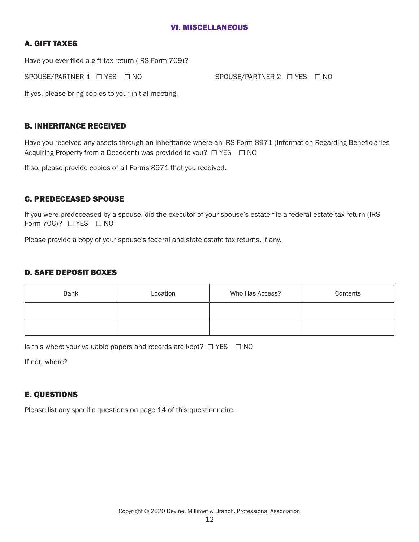#### VI. MISCELLANEOUS

## A. GIFT TAXES

Have you ever filed a gift tax return (IRS Form 709)?

SPOUSE/PARTNER 1 <del>□</del> YES □ NO SPOUSE/PARTNER 2 □ YES □ NO

If yes, please bring copies to your initial meeting.

## B. INHERITANCE RECEIVED

Have you received any assets through an inheritance where an IRS Form 8971 (Information Regarding Beneficiaries Acquiring Property from a Decedent) was provided to you?  $\Box$  YES  $\Box$  NO

If so, please provide copies of all Forms 8971 that you received.

## C. PREDECEASED SPOUSE

If you were predeceased by a spouse, did the executor of your spouse's estate file a federal estate tax return (IRS Form 706)? □ YES □ NO

Please provide a copy of your spouse's federal and state estate tax returns, if any.

## D. SAFE DEPOSIT BOXES

| Bank | Location | Who Has Access? | Contents |
|------|----------|-----------------|----------|
|      |          |                 |          |
|      |          |                 |          |

Is this where your valuable papers and records are kept?  $\Box$  YES  $\Box$  NO

If not, where?

## E. QUESTIONS

Please list any specific questions on page 14 of this questionnaire.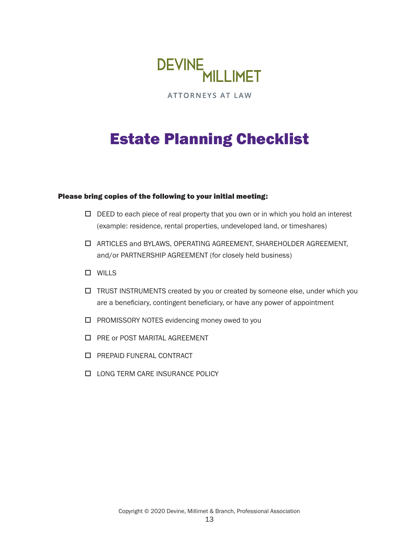

**ATTORNEYS AT LAW** 

# Estate Planning Checklist

#### Please bring copies of the following to your initial meeting:

- $\Box$  DEED to each piece of real property that you own or in which you hold an interest (example: residence, rental properties, undeveloped land, or timeshares)
- ARTICLES and BYLAWS, OPERATING AGREEMENT, SHAREHOLDER AGREEMENT, and/or PARTNERSHIP AGREEMENT (for closely held business)
- WILLS
- TRUST INSTRUMENTS created by you or created by someone else, under which you are a beneficiary, contingent beneficiary, or have any power of appointment
- □ PROMISSORY NOTES evidencing money owed to you
- **D** PRE or POST MARITAL AGREEMENT
- **D** PREPAID FUNERAL CONTRACT
- **LONG TERM CARE INSURANCE POLICY**